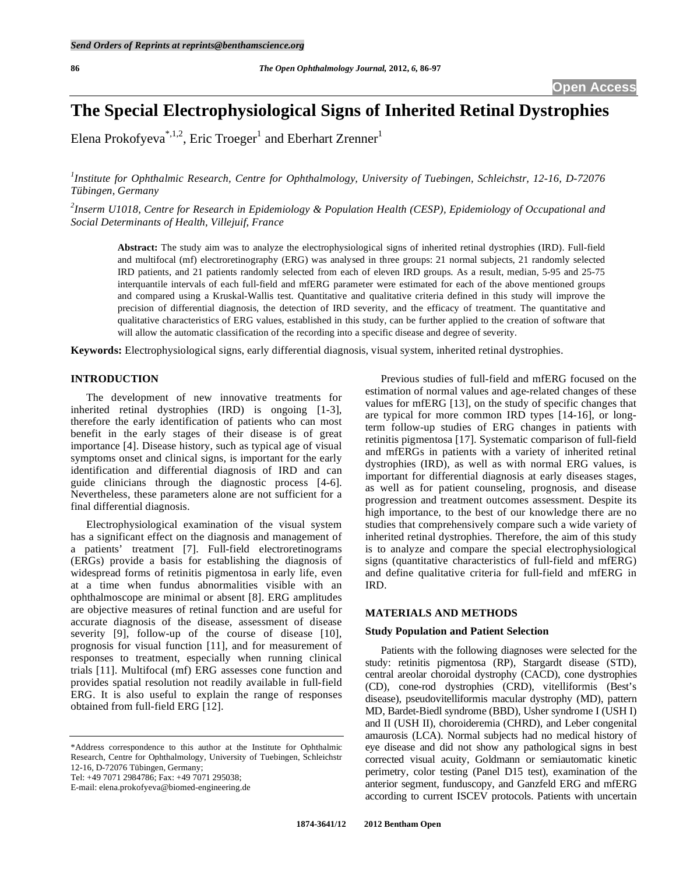# **The Special Electrophysiological Signs of Inherited Retinal Dystrophies**

Elena Prokofyeva<sup>\*,1,2</sup>, Eric Troeger<sup>1</sup> and Eberhart Zrenner<sup>1</sup>

*1 Institute for Ophthalmic Research, Centre for Ophthalmology, University of Tuebingen, Schleichstr, 12-16, D-72076 Tübingen, Germany* 

*2 Inserm U1018, Centre for Research in Epidemiology & Population Health (CESP), Epidemiology of Occupational and Social Determinants of Health, Villejuif, France* 

**Abstract:** The study aim was to analyze the electrophysiological signs of inherited retinal dystrophies (IRD). Full-field and multifocal (mf) electroretinography (ERG) was analysed in three groups: 21 normal subjects, 21 randomly selected IRD patients, and 21 patients randomly selected from each of eleven IRD groups. As a result, median, 5-95 and 25-75 interquantile intervals of each full-field and mfERG parameter were estimated for each of the above mentioned groups and compared using a Kruskal-Wallis test. Quantitative and qualitative criteria defined in this study will improve the precision of differential diagnosis, the detection of IRD severity, and the efficacy of treatment. The quantitative and qualitative characteristics of ERG values, established in this study, can be further applied to the creation of software that will allow the automatic classification of the recording into a specific disease and degree of severity.

**Keywords:** Electrophysiological signs, early differential diagnosis, visual system, inherited retinal dystrophies.

#### **INTRODUCTION**

 The development of new innovative treatments for inherited retinal dystrophies (IRD) is ongoing [1-3], therefore the early identification of patients who can most benefit in the early stages of their disease is of great importance [4]. Disease history, such as typical age of visual symptoms onset and clinical signs, is important for the early identification and differential diagnosis of IRD and can guide clinicians through the diagnostic process [4-6]. Nevertheless, these parameters alone are not sufficient for a final differential diagnosis.

 Electrophysiological examination of the visual system has a significant effect on the diagnosis and management of a patients' treatment [7]. Full-field electroretinograms (ERGs) provide a basis for establishing the diagnosis of widespread forms of retinitis pigmentosa in early life, even at a time when fundus abnormalities visible with an ophthalmoscope are minimal or absent [8]. ERG amplitudes are objective measures of retinal function and are useful for accurate diagnosis of the disease, assessment of disease severity [9], follow-up of the course of disease [10], prognosis for visual function [11], and for measurement of responses to treatment, especially when running clinical trials [11]. Multifocal (mf) ERG assesses cone function and provides spatial resolution not readily available in full-field ERG. It is also useful to explain the range of responses obtained from full-field ERG [12].

Tel: +49 7071 2984786; Fax: +49 7071 295038;

E-mail: elena.prokofyeva@biomed-engineering.de

 Previous studies of full-field and mfERG focused on the estimation of normal values and age-related changes of these values for mfERG [13], on the study of specific changes that are typical for more common IRD types [14-16], or longterm follow-up studies of ERG changes in patients with retinitis pigmentosa [17]. Systematic comparison of full-field and mfERGs in patients with a variety of inherited retinal dystrophies (IRD), as well as with normal ERG values, is important for differential diagnosis at early diseases stages, as well as for patient counseling, prognosis, and disease progression and treatment outcomes assessment. Despite its high importance, to the best of our knowledge there are no studies that comprehensively compare such a wide variety of inherited retinal dystrophies. Therefore, the aim of this study is to analyze and compare the special electrophysiological signs (quantitative characteristics of full-field and mfERG) and define qualitative criteria for full-field and mfERG in IRD.

### **MATERIALS AND METHODS**

#### **Study Population and Patient Selection**

 Patients with the following diagnoses were selected for the study: retinitis pigmentosa (RP), Stargardt disease (STD), central areolar choroidal dystrophy (CACD), cone dystrophies (CD), cone-rod dystrophies (CRD), vitelliformis (Best's disease), pseudovitelliformis macular dystrophy (MD), pattern MD, Bardet-Biedl syndrome (BBD), Usher syndrome I (USH I) and II (USH II), choroideremia (CHRD), and Leber congenital amaurosis (LCA). Normal subjects had no medical history of eye disease and did not show any pathological signs in best corrected visual acuity, Goldmann or semiautomatic kinetic perimetry, color testing (Panel D15 test), examination of the anterior segment, funduscopy, and Ganzfeld ERG and mfERG according to current ISCEV protocols. Patients with uncertain

<sup>\*</sup>Address correspondence to this author at the Institute for Ophthalmic Research, Centre for Ophthalmology, University of Tuebingen, Schleichstr 12-16, D-72076 Tübingen, Germany;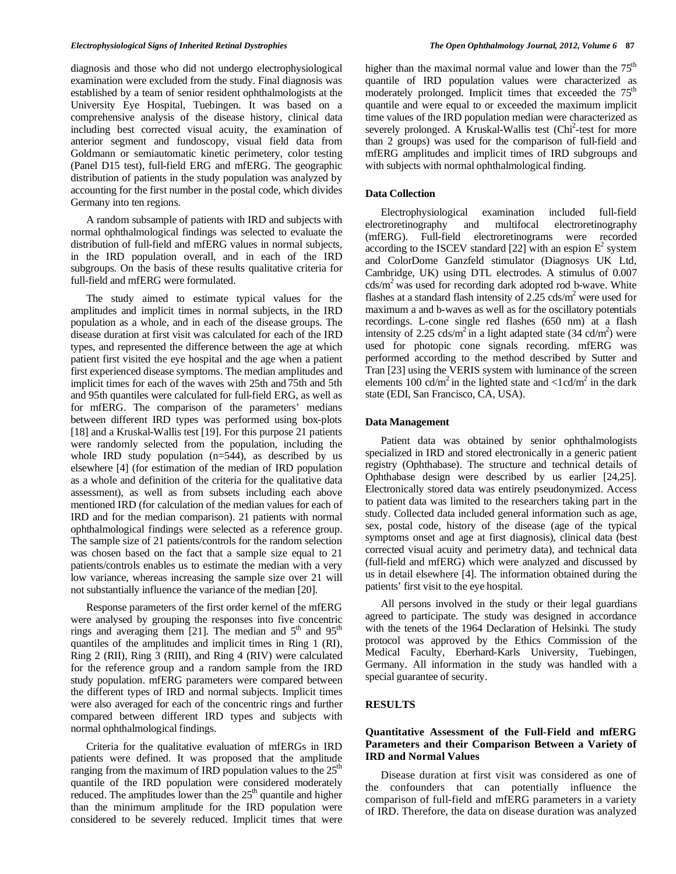diagnosis and those who did not undergo electrophysiological examination were excluded from the study. Final diagnosis was established by a team of senior resident ophthalmologists at the University Eye Hospital, Tuebingen. It was based on a comprehensive analysis of the disease history, clinical data including best corrected visual acuity, the examination of anterior segment and fundoscopy, visual field data from Goldmann or semiautomatic kinetic perimetery, color testing (Panel D15 test), full-field ERG and mfERG. The geographic distribution of patients in the study population was analyzed by accounting for the first number in the postal code, which divides Germany into ten regions.

 A random subsample of patients with IRD and subjects with normal ophthalmological findings was selected to evaluate the distribution of full-field and mfERG values in normal subjects, in the IRD population overall, and in each of the IRD subgroups. On the basis of these results qualitative criteria for full-field and mfERG were formulated.

 The study aimed to estimate typical values for the amplitudes and implicit times in normal subjects, in the IRD population as a whole, and in each of the disease groups. The disease duration at first visit was calculated for each of the IRD types, and represented the difference between the age at which patient first visited the eye hospital and the age when a patient first experienced disease symptoms. The median amplitudes and implicit times for each of the waves with 25th and 75th and 5th and 95th quantiles were calculated for full-field ERG, as well as for mfERG. The comparison of the parameters' medians between different IRD types was performed using box-plots [18] and a Kruskal-Wallis test [19]. For this purpose 21 patients were randomly selected from the population, including the whole IRD study population  $(n=544)$ , as described by us elsewhere [4] (for estimation of the median of IRD population as a whole and definition of the criteria for the qualitative data assessment), as well as from subsets including each above mentioned IRD (for calculation of the median values for each of IRD and for the median comparison). 21 patients with normal ophthalmological findings were selected as a reference group. The sample size of 21 patients/controls for the random selection was chosen based on the fact that a sample size equal to 21 patients/controls enables us to estimate the median with a very low variance, whereas increasing the sample size over 21 will not substantially influence the variance of the median [20].

 Response parameters of the first order kernel of the mfERG were analysed by grouping the responses into five concentric rings and averaging them [21]. The median and  $5<sup>th</sup>$  and  $95<sup>th</sup>$ quantiles of the amplitudes and implicit times in Ring 1 (RI), Ring 2 (RII), Ring 3 (RIII), and Ring 4 (RIV) were calculated for the reference group and a random sample from the IRD study population. mfERG parameters were compared between the different types of IRD and normal subjects. Implicit times were also averaged for each of the concentric rings and further compared between different IRD types and subjects with normal ophthalmological findings.

 Criteria for the qualitative evaluation of mfERGs in IRD patients were defined. It was proposed that the amplitude ranging from the maximum of IRD population values to the  $25<sup>th</sup>$ quantile of the IRD population were considered moderately reduced. The amplitudes lower than the  $25<sup>th</sup>$  quantile and higher than the minimum amplitude for the IRD population were considered to be severely reduced. Implicit times that were

higher than the maximal normal value and lower than the  $75<sup>th</sup>$ quantile of IRD population values were characterized as moderately prolonged. Implicit times that exceeded the 75<sup>th</sup> quantile and were equal to or exceeded the maximum implicit time values of the IRD population median were characterized as severely prolonged. A Kruskal-Wallis test (Chi<sup>2</sup>-test for more than 2 groups) was used for the comparison of full-field and mfERG amplitudes and implicit times of IRD subgroups and with subjects with normal ophthalmological finding.

#### **Data Collection**

 Electrophysiological examination included full-field electroretinography and multifocal electroretinography (mfERG). Full-field electroretinograms were recorded according to the ISCEV standard [22] with an espion  $E^2$  system and ColorDome Ganzfeld stimulator (Diagnosys UK Ltd, Cambridge, UK) using DTL electrodes. A stimulus of 0.007  $cds/m<sup>2</sup>$  was used for recording dark adopted rod b-wave. White flashes at a standard flash intensity of  $2.25 \text{ cds/m}^2$  were used for maximum a and b-waves as well as for the oscillatory potentials recordings. L-cone single red flashes (650 nm) at a flash intensity of 2.25 cds/m<sup>2</sup> in a light adapted state  $(34 \text{ cd/m}^2)$  were used for photopic cone signals recording. mfERG was performed according to the method described by Sutter and Tran [23] using the VERIS system with luminance of the screen elements 100 cd/m<sup>2</sup> in the lighted state and  $\langle 1cd/m^2$  in the dark state (EDI, San Francisco, CA, USA).

#### **Data Management**

 Patient data was obtained by senior ophthalmologists specialized in IRD and stored electronically in a generic patient registry (Ophthabase). The structure and technical details of Ophthabase design were described by us earlier [24,25]. Electronically stored data was entirely pseudonymized. Access to patient data was limited to the researchers taking part in the study. Collected data included general information such as age, sex, postal code, history of the disease (age of the typical symptoms onset and age at first diagnosis), clinical data (best corrected visual acuity and perimetry data), and technical data (full-field and mfERG) which were analyzed and discussed by us in detail elsewhere [4]. The information obtained during the patients' first visit to the eye hospital.

 All persons involved in the study or their legal guardians agreed to participate. The study was designed in accordance with the tenets of the 1964 Declaration of Helsinki. The study protocol was approved by the Ethics Commission of the Medical Faculty, Eberhard-Karls University, Tuebingen, Germany. All information in the study was handled with a special guarantee of security.

### **RESULTS**

## **Quantitative Assessment of the Full-Field and mfERG Parameters and their Comparison Between a Variety of IRD and Normal Values**

 Disease duration at first visit was considered as one of the confounders that can potentially influence the comparison of full-field and mfERG parameters in a variety of IRD. Therefore, the data on disease duration was analyzed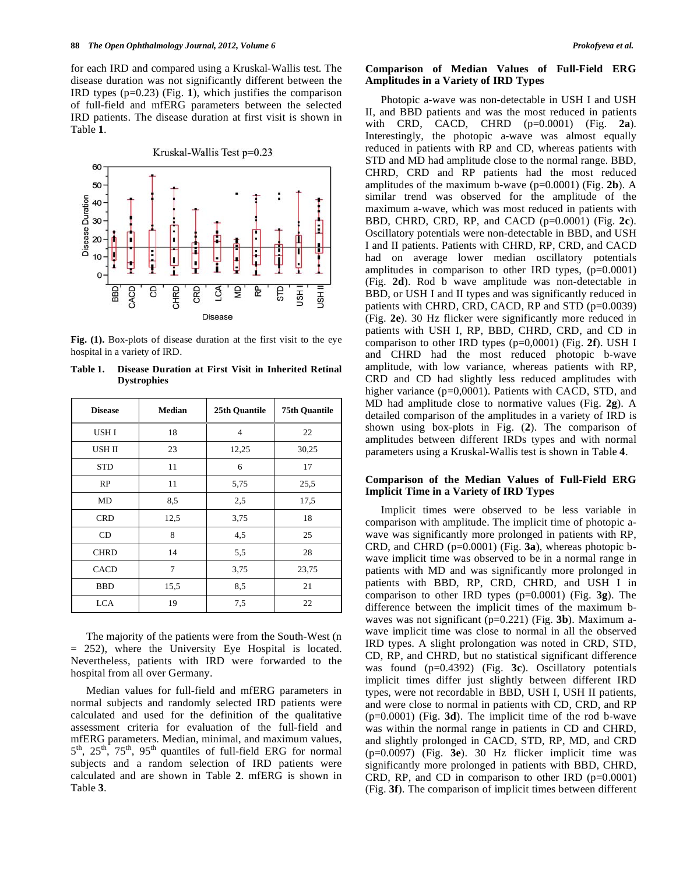for each IRD and compared using a Kruskal-Wallis test. The disease duration was not significantly different between the IRD types (p=0.23) (Fig. **1**), which justifies the comparison of full-field and mfERG parameters between the selected IRD patients. The disease duration at first visit is shown in Table **1**.



**Fig. (1).** Box-plots of disease duration at the first visit to the eye hospital in a variety of IRD.

**Table 1. Disease Duration at First Visit in Inherited Retinal Dystrophies** 

| <b>Disease</b>   | <b>Median</b> | 25th Quantile  | <b>75th Quantile</b> |  |  |
|------------------|---------------|----------------|----------------------|--|--|
| USH <sub>I</sub> | 18            | $\overline{4}$ | 22                   |  |  |
| USH II           | 23            | 12,25          | 30,25                |  |  |
| <b>STD</b>       | 11            | 6              | 17                   |  |  |
| RP               | 11            | 5,75           | 25,5                 |  |  |
| MD               | 8,5           | 2,5            | 17,5                 |  |  |
| <b>CRD</b>       | 12,5          | 3,75           | 18                   |  |  |
| <b>CD</b>        | 8             | 4,5            | 25                   |  |  |
| <b>CHRD</b>      | 14            | 5,5            | 28                   |  |  |
| <b>CACD</b>      | 7             | 3,75           | 23,75                |  |  |
| <b>BBD</b>       | 15,5          | 8,5            | 21                   |  |  |
| <b>LCA</b>       | 19            | 7,5            | 22                   |  |  |

 The majority of the patients were from the South-West (n = 252), where the University Eye Hospital is located. Nevertheless, patients with IRD were forwarded to the hospital from all over Germany.

 Median values for full-field and mfERG parameters in normal subjects and randomly selected IRD patients were calculated and used for the definition of the qualitative assessment criteria for evaluation of the full-field and mfERG parameters. Median, minimal, and maximum values,  $5<sup>th</sup>$ ,  $25<sup>th</sup>$ ,  $75<sup>th</sup>$ ,  $95<sup>th</sup>$  quantiles of full-field ERG for normal subjects and a random selection of IRD patients were calculated and are shown in Table **2**. mfERG is shown in Table **3**.

#### **Comparison of Median Values of Full-Field ERG Amplitudes in a Variety of IRD Types**

 Photopic a-wave was non-detectable in USH I and USH II, and BBD patients and was the most reduced in patients with CRD, CACD, CHRD (p=0.0001) (Fig. **2a**). Interestingly, the photopic a-wave was almost equally reduced in patients with RP and CD, whereas patients with STD and MD had amplitude close to the normal range. BBD, CHRD, CRD and RP patients had the most reduced amplitudes of the maximum b-wave (p=0.0001) (Fig. **2b**). A similar trend was observed for the amplitude of the maximum a-wave, which was most reduced in patients with BBD, CHRD, CRD, RP, and CACD (p=0.0001) (Fig. **2c**). Oscillatory potentials were non-detectable in BBD, and USH I and II patients. Patients with CHRD, RP, CRD, and CACD had on average lower median oscillatory potentials amplitudes in comparison to other IRD types, (p=0.0001) (Fig. **2d**). Rod b wave amplitude was non-detectable in BBD, or USH I and II types and was significantly reduced in patients with CHRD, CRD, CACD, RP and STD (p=0.0039) (Fig. **2e**). 30 Hz flicker were significantly more reduced in patients with USH I, RP, BBD, CHRD, CRD, and CD in comparison to other IRD types (p=0,0001) (Fig. **2f**). USH I and CHRD had the most reduced photopic b-wave amplitude, with low variance, whereas patients with RP, CRD and CD had slightly less reduced amplitudes with higher variance (p=0,0001). Patients with CACD, STD, and MD had amplitude close to normative values (Fig. **2g**). A detailed comparison of the amplitudes in a variety of IRD is shown using box-plots in Fig. (**2**). The comparison of amplitudes between different IRDs types and with normal parameters using a Kruskal-Wallis test is shown in Table **4**.

### **Comparison of the Median Values of Full-Field ERG Implicit Time in a Variety of IRD Types**

 Implicit times were observed to be less variable in comparison with amplitude. The implicit time of photopic awave was significantly more prolonged in patients with RP, CRD, and CHRD (p=0.0001) (Fig. **3a**), whereas photopic bwave implicit time was observed to be in a normal range in patients with MD and was significantly more prolonged in patients with BBD, RP, CRD, CHRD, and USH I in comparison to other IRD types (p=0.0001) (Fig. **3g**). The difference between the implicit times of the maximum bwaves was not significant (p=0.221) (Fig. **3b**). Maximum awave implicit time was close to normal in all the observed IRD types. A slight prolongation was noted in CRD, STD, CD, RP, and CHRD, but no statistical significant difference was found (p=0.4392) (Fig. **3c**). Oscillatory potentials implicit times differ just slightly between different IRD types, were not recordable in BBD, USH I, USH II patients, and were close to normal in patients with CD, CRD, and RP (p=0.0001) (Fig. **3d**). The implicit time of the rod b-wave was within the normal range in patients in CD and CHRD, and slightly prolonged in CACD, STD, RP, MD, and CRD (p=0.0097) (Fig. **3e**). 30 Hz flicker implicit time was significantly more prolonged in patients with BBD, CHRD, CRD, RP, and CD in comparison to other IRD  $(p=0.0001)$ (Fig. **3f**). The comparison of implicit times between different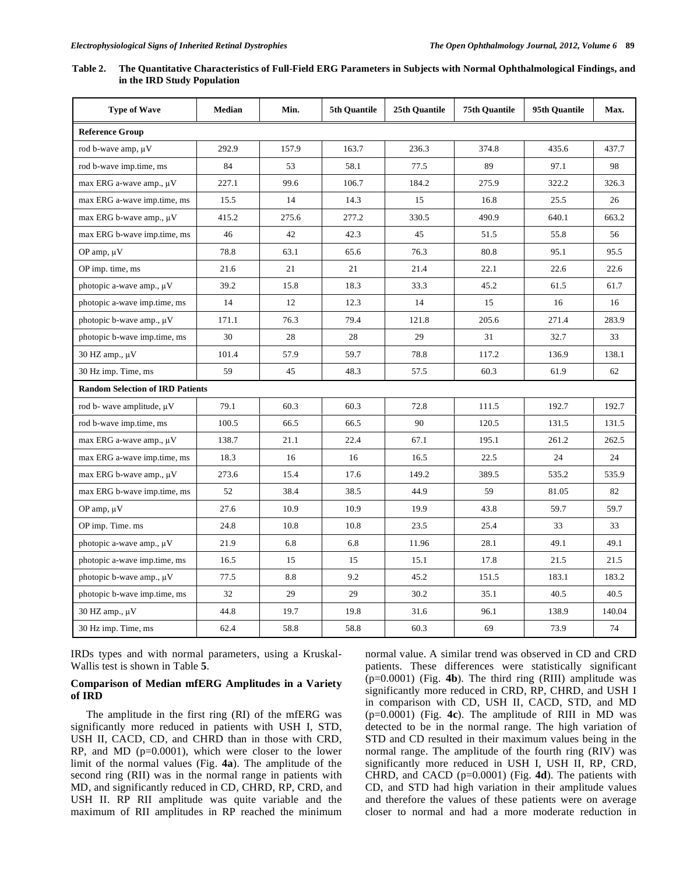| Table 2. | . The Quantitative Characteristics of Full-Field ERG Parameters in Subjects with Normal Ophthalmological Findings, and |
|----------|------------------------------------------------------------------------------------------------------------------------|
|          | in the IRD Study Population                                                                                            |

| <b>Type of Wave</b>                     | <b>Median</b> | Min.  | 5th Quantile | 25th Quantile | <b>75th Quantile</b> | 95th Quantile | Max.   |
|-----------------------------------------|---------------|-------|--------------|---------------|----------------------|---------------|--------|
| <b>Reference Group</b>                  |               |       |              |               |                      |               |        |
| rod b-wave amp, $\mu$ V                 | 292.9         | 157.9 | 163.7        | 236.3         | 374.8                | 435.6         | 437.7  |
| rod b-wave imp.time, ms                 | 84            | 53    | 58.1         | 77.5          | 89                   | 97.1          | 98     |
| max ERG a-wave amp., µV                 | 227.1         | 99.6  | 106.7        | 184.2         | 275.9                | 322.2         | 326.3  |
| max ERG a-wave imp.time, ms             | 15.5          | 14    | 14.3         | 15            | 16.8                 | 25.5          | 26     |
| max ERG b-wave amp., $\mu$ V            | 415.2         | 275.6 | 277.2        | 330.5         | 490.9                | 640.1         | 663.2  |
| max ERG b-wave imp.time, ms             | 46            | 42    | 42.3         | 45            | 51.5                 | 55.8          | 56     |
| OP amp, $\mu$ V                         | 78.8          | 63.1  | 65.6         | 76.3          | 80.8                 | 95.1          | 95.5   |
| OP imp. time, ms                        | 21.6          | 21    | 21           | 21.4          | 22.1                 | 22.6          | 22.6   |
| photopic a-wave amp., µV                | 39.2          | 15.8  | 18.3         | 33.3          | 45.2                 | 61.5          | 61.7   |
| photopic a-wave imp.time, ms            | 14            | 12    | 12.3         | 14            | 15                   | 16            | 16     |
| photopic b-wave amp., $\mu$ V           | 171.1         | 76.3  | 79.4         | 121.8         | 205.6                | 271.4         | 283.9  |
| photopic b-wave imp.time, ms            | 30            | 28    | 28           | 29            | 31                   | 32.7          | 33     |
| 30 HZ amp., $\mu$ V                     | 101.4         | 57.9  | 59.7         | 78.8          | 117.2                | 136.9         | 138.1  |
| 30 Hz imp. Time, ms                     | 59            | 45    | 48.3         | 57.5          | 60.3                 | 61.9          | 62     |
| <b>Random Selection of IRD Patients</b> |               |       |              |               |                      |               |        |
| rod b- wave amplitude, μV               | 79.1          | 60.3  | 60.3         | 72.8          | 111.5                | 192.7         | 192.7  |
| rod b-wave imp.time, ms                 | 100.5         | 66.5  | 66.5         | 90            | 120.5                | 131.5         | 131.5  |
| max ERG a-wave amp., µV                 | 138.7         | 21.1  | 22.4         | 67.1          | 195.1                | 261.2         | 262.5  |
| max ERG a-wave imp.time, ms             | 18.3          | 16    | 16           | 16.5          | 22.5                 | 24            | 24     |
| max ERG b-wave amp., $\mu$ V            | 273.6         | 15.4  | 17.6         | 149.2         | 389.5                | 535.2         | 535.9  |
| max ERG b-wave imp.time, ms             | 52            | 38.4  | 38.5         | 44.9          | 59                   | 81.05         | 82     |
| OP amp, $\mu$ V                         | 27.6          | 10.9  | 10.9         | 19.9          | 43.8                 | 59.7          | 59.7   |
| OP imp. Time. ms                        | 24.8          | 10.8  | 10.8         | 23.5          | 25.4                 | 33            | 33     |
| photopic a-wave amp., µV                | 21.9          | 6.8   | 6.8          | 11.96         | 28.1                 | 49.1          | 49.1   |
| photopic a-wave imp.time, ms            | 16.5          | 15    | 15           | 15.1          | 17.8                 | 21.5          | 21.5   |
| photopic b-wave amp., $\mu$ V           | 77.5          | 8.8   | 9.2          | 45.2          | 151.5                | 183.1         | 183.2  |
| photopic b-wave imp.time, ms            | 32            | 29    | 29           | 30.2          | 35.1                 | 40.5          | 40.5   |
| 30 HZ amp., µV                          | 44.8          | 19.7  | 19.8         | 31.6          | 96.1                 | 138.9         | 140.04 |
| 30 Hz imp. Time, ms                     | 62.4          | 58.8  | 58.8         | 60.3          | 69                   | 73.9          | 74     |

IRDs types and with normal parameters, using a Kruskal-Wallis test is shown in Table **5**.

### **Comparison of Median mfERG Amplitudes in a Variety of IRD**

 The amplitude in the first ring (RI) of the mfERG was significantly more reduced in patients with USH I, STD, USH II, CACD, CD, and CHRD than in those with CRD,  $RP$ , and  $MD$  ( $p=0.0001$ ), which were closer to the lower limit of the normal values (Fig. **4a**). The amplitude of the second ring (RII) was in the normal range in patients with MD, and significantly reduced in CD, CHRD, RP, CRD, and USH II. RP RII amplitude was quite variable and the maximum of RII amplitudes in RP reached the minimum normal value. A similar trend was observed in CD and CRD patients. These differences were statistically significant (p=0.0001) (Fig. **4b**). The third ring (RIII) amplitude was significantly more reduced in CRD, RP, CHRD, and USH I in comparison with CD, USH II, CACD, STD, and MD (p=0.0001) (Fig. **4c**). The amplitude of RIII in MD was detected to be in the normal range. The high variation of STD and CD resulted in their maximum values being in the normal range. The amplitude of the fourth ring (RIV) was significantly more reduced in USH I, USH II, RP, CRD, CHRD, and CACD (p=0.0001) (Fig. **4d**). The patients with CD, and STD had high variation in their amplitude values and therefore the values of these patients were on average closer to normal and had a more moderate reduction in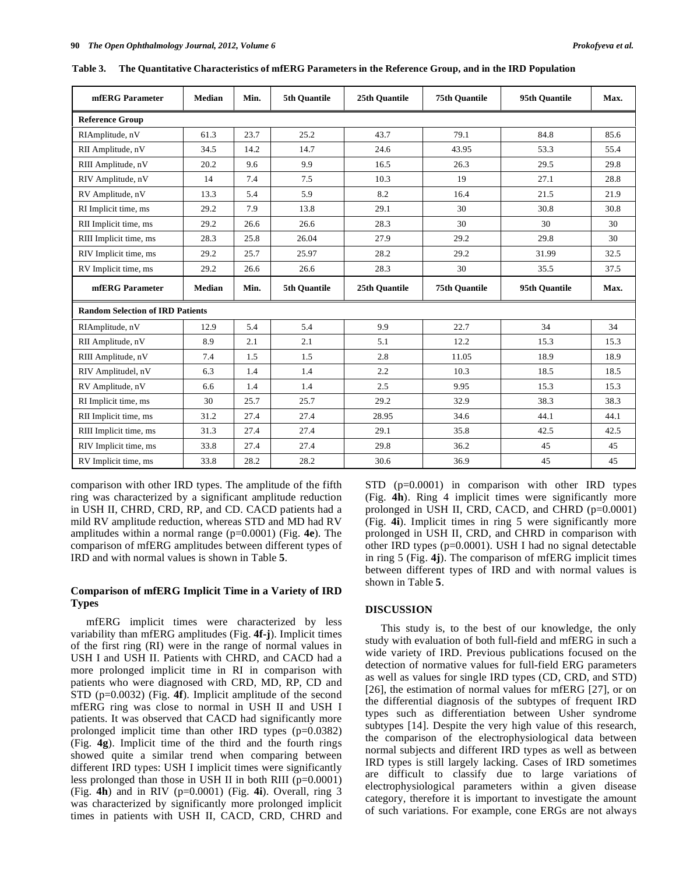| mfERG Parameter                         | <b>Median</b>         | Min. | 5th Ouantile | 25th Ouantile | <b>75th Ouantile</b> | 95th Quantile | Max. |  |  |  |  |
|-----------------------------------------|-----------------------|------|--------------|---------------|----------------------|---------------|------|--|--|--|--|
| <b>Reference Group</b>                  |                       |      |              |               |                      |               |      |  |  |  |  |
| RIAmplitude, nV                         | 61.3                  | 23.7 | 25.2         | 43.7          | 79.1                 | 84.8          | 85.6 |  |  |  |  |
| RII Amplitude, nV                       | 34.5                  | 14.2 | 14.7         | 24.6          | 43.95                | 53.3          | 55.4 |  |  |  |  |
| RIII Amplitude, nV                      | 20.2                  | 9.6  | 9.9          | 16.5          | 26.3                 | 29.5          | 29.8 |  |  |  |  |
| RIV Amplitude, nV                       | 14                    | 7.4  | 7.5          | 10.3          | 19                   | 27.1          | 28.8 |  |  |  |  |
| RV Amplitude, nV                        | 13.3                  | 5.4  | 5.9          | 8.2           | 16.4                 | 21.5          | 21.9 |  |  |  |  |
| RI Implicit time, ms                    | 29.2                  | 7.9  | 13.8         | 29.1          | 30                   | 30.8          | 30.8 |  |  |  |  |
| RII Implicit time, ms                   | 29.2                  | 26.6 | 26.6         | 28.3          | 30                   | 30            | 30   |  |  |  |  |
| RIII Implicit time, ms                  | 25.8<br>26.04<br>28.3 |      | 27.9         | 29.2          | 29.8                 | 30            |      |  |  |  |  |
| RIV Implicit time, ms                   | 29.2                  | 25.7 | 25.97        | 28.2          | 29.2                 | 31.99         | 32.5 |  |  |  |  |
| RV Implicit time, ms                    | 26.6<br>26.6<br>29.2  |      |              | 28.3          | 30                   | 35.5          | 37.5 |  |  |  |  |
| mfERG Parameter<br><b>Median</b>        |                       | Min. | 5th Quantile | 25th Quantile | <b>75th Quantile</b> | 95th Quantile | Max. |  |  |  |  |
| <b>Random Selection of IRD Patients</b> |                       |      |              |               |                      |               |      |  |  |  |  |
| RIAmplitude, nV                         | 12.9                  | 5.4  | 5.4<br>9.9   |               | 34<br>22.7           |               | 34   |  |  |  |  |
| RII Amplitude, nV                       |                       |      |              |               |                      |               |      |  |  |  |  |
|                                         | 8.9                   | 2.1  | 2.1          | 5.1           | 12.2                 | 15.3          | 15.3 |  |  |  |  |
| RIII Amplitude, nV                      | 7.4                   | 1.5  | 1.5          | 2.8           | 11.05                | 18.9          | 18.9 |  |  |  |  |
| RIV Amplitudel, nV                      | 6.3                   | 1.4  | 1.4          | 2.2           | 10.3                 | 18.5          | 18.5 |  |  |  |  |
| RV Amplitude, nV                        | 6.6                   | 1.4  | 1.4          | 2.5           | 9.95                 | 15.3          | 15.3 |  |  |  |  |
| RI Implicit time, ms                    | 30                    | 25.7 | 25.7         | 29.2          | 32.9                 | 38.3          | 38.3 |  |  |  |  |
| RII Implicit time, ms                   | 31.2                  | 27.4 | 27.4         | 28.95         | 34.6                 | 44.1          | 44.1 |  |  |  |  |
| RIII Implicit time, ms                  | 31.3                  | 27.4 | 27.4         | 29.1          | 35.8                 | 42.5          | 42.5 |  |  |  |  |
| RIV Implicit time, ms                   | 33.8                  | 27.4 | 27.4         | 29.8          | 36.2                 | 45            | 45   |  |  |  |  |

**Table 3. The Quantitative Characteristics of mfERG Parameters in the Reference Group, and in the IRD Population** 

comparison with other IRD types. The amplitude of the fifth ring was characterized by a significant amplitude reduction in USH II, CHRD, CRD, RP, and CD. CACD patients had a mild RV amplitude reduction, whereas STD and MD had RV amplitudes within a normal range (p=0.0001) (Fig. **4e**). The comparison of mfERG amplitudes between different types of IRD and with normal values is shown in Table **5**.

### **Comparison of mfERG Implicit Time in a Variety of IRD Types**

 mfERG implicit times were characterized by less variability than mfERG amplitudes (Fig. **4f-j**). Implicit times of the first ring (RI) were in the range of normal values in USH I and USH II. Patients with CHRD, and CACD had a more prolonged implicit time in RI in comparison with patients who were diagnosed with CRD, MD, RP, CD and STD (p=0.0032) (Fig. **4f**). Implicit amplitude of the second mfERG ring was close to normal in USH II and USH I patients. It was observed that CACD had significantly more prolonged implicit time than other IRD types (p=0.0382) (Fig. **4g**). Implicit time of the third and the fourth rings showed quite a similar trend when comparing between different IRD types: USH I implicit times were significantly less prolonged than those in USH II in both RIII (p=0.0001) (Fig. **4h**) and in RIV (p=0.0001) (Fig. **4i**). Overall, ring 3 was characterized by significantly more prolonged implicit times in patients with USH II, CACD, CRD, CHRD and STD (p=0.0001) in comparison with other IRD types (Fig. **4h**). Ring 4 implicit times were significantly more prolonged in USH II, CRD, CACD, and CHRD (p=0.0001) (Fig. **4i**). Implicit times in ring 5 were significantly more prolonged in USH II, CRD, and CHRD in comparison with other IRD types (p=0.0001). USH I had no signal detectable in ring 5 (Fig. **4j**). The comparison of mfERG implicit times between different types of IRD and with normal values is shown in Table **5**.

#### **DISCUSSION**

 This study is, to the best of our knowledge, the only study with evaluation of both full-field and mfERG in such a wide variety of IRD. Previous publications focused on the detection of normative values for full-field ERG parameters as well as values for single IRD types (CD, CRD, and STD) [26], the estimation of normal values for mfERG [27], or on the differential diagnosis of the subtypes of frequent IRD types such as differentiation between Usher syndrome subtypes [14]. Despite the very high value of this research, the comparison of the electrophysiological data between normal subjects and different IRD types as well as between IRD types is still largely lacking. Cases of IRD sometimes are difficult to classify due to large variations of electrophysiological parameters within a given disease category, therefore it is important to investigate the amount of such variations. For example, cone ERGs are not always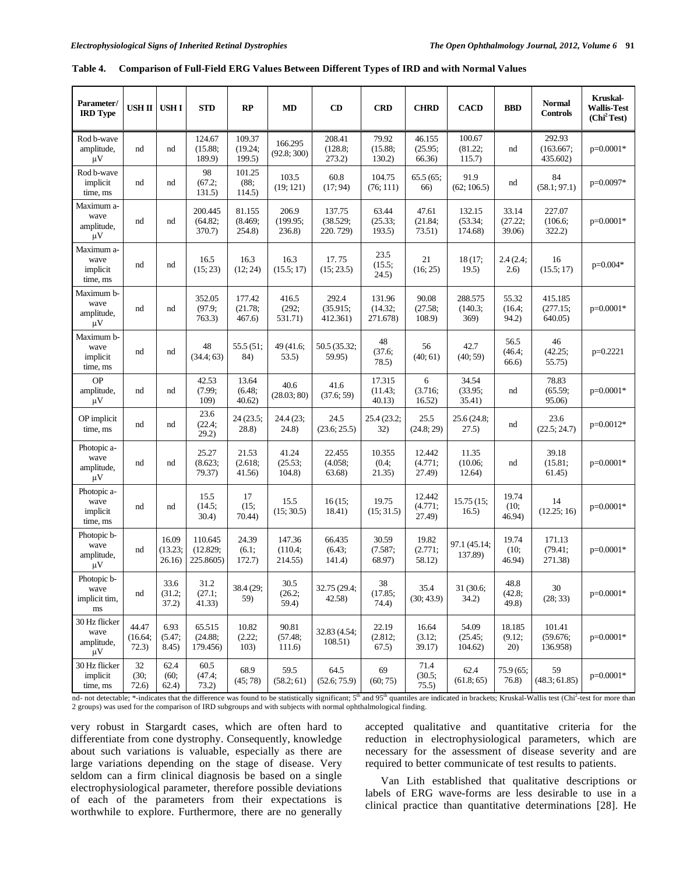| Parameter/<br><b>IRD</b> Type                    | USH II USH I              |                           | <b>STD</b>                       | RP                          | <b>MD</b>                    | CD                             | <b>CRD</b>                    | <b>CHRD</b>                                                                              | <b>CACD</b>                 | <b>BBD</b>                  | <b>Normal</b><br><b>Controls</b> | Kruskal-<br><b>Wallis-Test</b><br>(Chi <sup>2</sup> Test) |
|--------------------------------------------------|---------------------------|---------------------------|----------------------------------|-----------------------------|------------------------------|--------------------------------|-------------------------------|------------------------------------------------------------------------------------------|-----------------------------|-----------------------------|----------------------------------|-----------------------------------------------------------|
| Rod b-wave<br>amplitude,<br>$\mu$ V              | nd                        | nd                        | 124.67<br>(15.88;<br>189.9)      | 109.37<br>(19.24;<br>199.5) | 166.295<br>(92.8; 300)       | 208.41<br>(128.8;<br>273.2)    | 79.92<br>(15.88;<br>$130.2$ ) | 46.155<br>(25.95;<br>66.36)                                                              | 100.67<br>(81.22;<br>115.7) | nd                          | 292.93<br>(163.667;<br>435.602)  | $p=0.0001*$                                               |
| Rod b-wave<br>implicit<br>time, ms               | nd                        | nd                        | 98<br>(67.2;<br>131.5)           | 101.25<br>(88;<br>114.5)    | 103.5<br>(19; 121)           | 60.8<br>(17; 94)               | 104.75<br>(76; 111)           | 65.5(65;<br>66)                                                                          | 91.9<br>(62; 106.5)         | nd                          | 84<br>(58.1; 97.1)               | $p=0.0097*$                                               |
| Maximum a-<br>wave<br>amplitude,<br>$\mu$ V      | nd                        | nd                        | 200.445<br>(64.82;<br>370.7)     | 81.155<br>(8.469;<br>254.8) | 206.9<br>(199.95;<br>236.8)  | 137.75<br>(38.529;<br>220.729) | 63.44<br>(25.33;<br>193.5)    | 47.61<br>132.15<br>33.14<br>(53.34;<br>(27.22;<br>(21.84;<br>73.51)<br>174.68)<br>39.06) |                             | 227.07<br>(106.6)<br>322.2) | $p=0.0001*$                      |                                                           |
| Maximum a-<br>wave<br>implicit<br>time, ms       | nd                        | nd                        | 16.5<br>(15; 23)                 | 16.3<br>(12; 24)            | 16.3<br>(15.5; 17)           | 17.75<br>(15; 23.5)            | 23.5<br>(15.5;<br>24.5)       | 21<br>(16; 25)                                                                           | 18 (17;<br>19.5)            | 2.4(2.4;<br>2.6)            | 16<br>(15.5; 17)                 | $p=0.004*$                                                |
| Maximum b-<br>wave<br>amplitude,<br>$\mu$ V      | nd                        | nd                        | 352.05<br>(97.9;<br>763.3)       | 177.42<br>(21.78;<br>467.6  | 416.5<br>(292;<br>531.71)    | 292.4<br>(35.915;<br>412.361)  | 131.96<br>(14.32;<br>271.678) | 90.08<br>(27.58;<br>108.9                                                                | 288.575<br>(140.3;<br>369)  | 55.32<br>(16.4;<br>94.2)    | 415.185<br>(277.15;<br>640.05)   | $p=0.0001*$                                               |
| Maximum b-<br>wave<br>implicit<br>time, ms       | nd                        | nd                        | 48<br>(34.4; 63)                 | 55.5 (51;<br>84)            | 49 (41.6;<br>53.5)           | 50.5 (35.32;<br>59.95)         | 48<br>(37.6;<br>78.5)         | 56<br>(40; 61)                                                                           | 42.7<br>(40; 59)            | 56.5<br>(46.4;<br>66.6)     | 46<br>(42.25;<br>55.75)          | $p=0.2221$                                                |
| <b>OP</b><br>amplitude,<br>$\mu$ V               | nd                        | nd                        | 42.53<br>(7.99;<br>109)          | 13.64<br>(6.48;<br>40.62)   | 40.6<br>(28.03; 80)          | 41.6<br>(37.6; 59)             | 17.315<br>(11.43;<br>40.13)   | 6<br>(3.716;<br>16.52)                                                                   | 34.54<br>(33.95;<br>35.41)  | nd                          | 78.83<br>(65.59;<br>95.06)       | $p=0.0001*$                                               |
| OP implicit<br>time, ms                          | nd                        | nd                        | 23.6<br>(22.4;<br>29.2)          | 24 (23.5;<br>28.8)          | 24.4 (23;<br>(24.8)          | 24.5<br>(23.6; 25.5)           | 25.4 (23.2;<br>32)            | 25.5<br>(24.8; 29)                                                                       | 25.6 (24.8;<br>27.5)        | nd                          | 23.6<br>(22.5; 24.7)             | $p=0.0012*$                                               |
| Photopic a-<br>wave<br>amplitude,<br>$\mu V$     | nd                        | nd                        | 25.27<br>(8.623;<br>79.37)       | 21.53<br>(2.618;<br>41.56)  | 41.24<br>(25.53;<br>104.8    | 22.455<br>(4.058;<br>63.68)    | 10.355<br>(0.4;<br>21.35)     | 12.442<br>(4.771;<br>27.49)                                                              | 11.35<br>(10.06;<br>12.64)  | nd                          | 39.18<br>(15.81;<br>61.45)       | $p=0.0001*$                                               |
| Photopic a-<br>wave<br>implicit<br>time, ms      | nd                        | nd                        | 15.5<br>(14.5;<br>30.4)          | 17<br>(15;<br>70.44)        | 15.5<br>(15; 30.5)           | 16(15;<br>18.41)               | 19.75<br>(15; 31.5)           | 12.442<br>(4.771;<br>27.49)                                                              | 15.75(15)<br>16.5)          | 19.74<br>(10;<br>46.94)     | 14<br>(12.25; 16)                | $p=0.0001*$                                               |
| Photopic b-<br>wave<br>amplitude,<br>$\mu$ V     | nd                        | 16.09<br>(13.23;<br>26.16 | 110.645<br>(12.829;<br>225.8605) | 24.39<br>(6.1;<br>172.7)    | 147.36<br>(110.4;<br>214.55) | 66.435<br>(6.43;<br>141.4)     | 30.59<br>(7.587;<br>68.97)    | 19.82<br>(2.771;<br>58.12)                                                               | 97.1 (45.14;<br>137.89)     | 19.74<br>(10;<br>46.94)     | 171.13<br>(79.41;<br>271.38)     | $p=0.0001*$                                               |
| Photopic b-<br>wave<br>implicit tim,<br>$\rm ms$ | nd                        | 33.6<br>(31.2;<br>37.2)   | 31.2<br>(27.1;<br>41.33)         | 38.4 (29;<br>59)            | 30.5<br>(26.2;<br>59.4)      | 32.75 (29.4;<br>42.58)         | 38<br>(17.85;<br>74.4)        | 35.4<br>(30; 43.9)                                                                       | 31 (30.6;<br>34.2)          | 48.8<br>(42.8;<br>49.8)     | 30<br>(28; 33)                   | $p=0.0001*$                                               |
| 30 Hz flicker<br>wave<br>amplitude,<br>$\mu$ V   | 44.47<br>(16.64;<br>72.3) | 6.93<br>(5.47;<br>8.45)   | 65.515<br>(24.88;<br>179.456)    | 10.82<br>(2.22;<br>103)     | 90.81<br>(57.48;<br>111.6    | 32.83 (4.54;<br>108.51)        | 22.19<br>(2.812;<br>67.5)     | 16.64<br>(3.12;<br>39.17)                                                                | 54.09<br>(25.45;<br>104.62  | 18.185<br>(9.12;<br>20)     | 101.41<br>(59.676;<br>136.958)   | $p=0.0001*$                                               |
| 30 Hz flicker<br>implicit<br>time, ms            | $32\,$<br>(30;<br>72.6)   | 62.4<br>(60;<br>62.4)     | 60.5<br>(47.4;<br>73.2)          | 68.9<br>(45; 78)            | 59.5<br>(58.2; 61)           | 64.5<br>(52.6; 75.9)           | 69<br>(60; 75)                | 71.4<br>(30.5;<br>75.5)                                                                  | 62.4<br>(61.8; 65)          | 75.9 (65;<br>76.8)          | 59<br>(48.3; 61.85)              | $p=0.0001*$                                               |

|  |  | Table 4. Comparison of Full-Field ERG Values Between Different Types of IRD and with Normal Values |
|--|--|----------------------------------------------------------------------------------------------------|
|  |  |                                                                                                    |

nd- not detectable; \*-indicates that the difference was found to be statistically significant;  $5<sup>th</sup>$  and  $95<sup>th</sup>$  quantiles are indicated in brackets; Kruskal-Wallis test (Chi<sup>2</sup>-test for more than 2 groups) was used for the comparison of IRD subgroups and with subjects with normal ophthalmological finding.

very robust in Stargardt cases, which are often hard to differentiate from cone dystrophy. Consequently, knowledge about such variations is valuable, especially as there are large variations depending on the stage of disease. Very seldom can a firm clinical diagnosis be based on a single electrophysiological parameter, therefore possible deviations of each of the parameters from their expectations is worthwhile to explore. Furthermore, there are no generally

accepted qualitative and quantitative criteria for the reduction in electrophysiological parameters, which are necessary for the assessment of disease severity and are required to better communicate of test results to patients.

 Van Lith established that qualitative descriptions or labels of ERG wave-forms are less desirable to use in a clinical practice than quantitative determinations [28]. He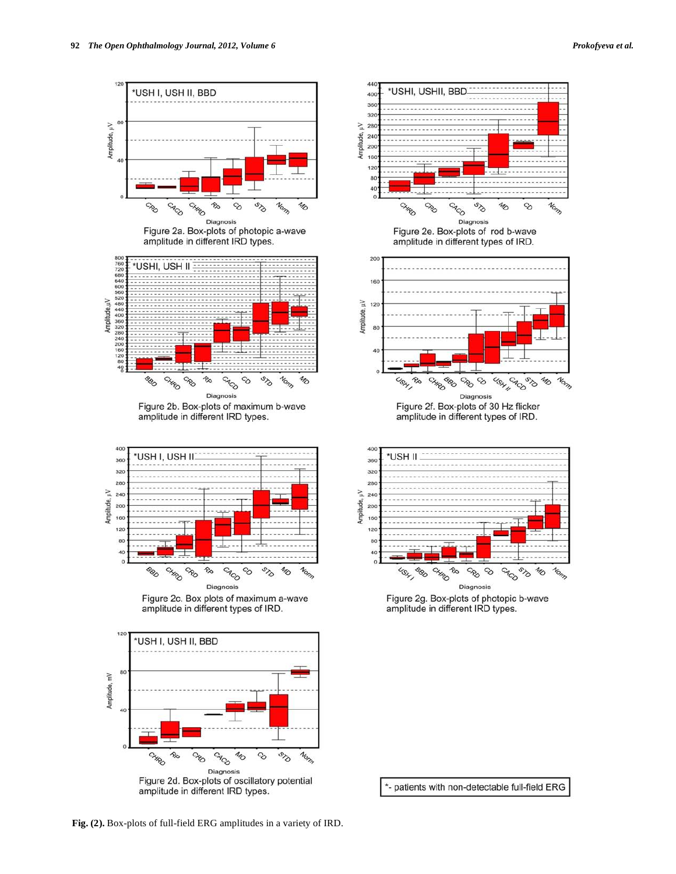





\*- patients with non-detectable full-field ERG

**Fig. (2).** Box-plots of full-field ERG amplitudes in a variety of IRD.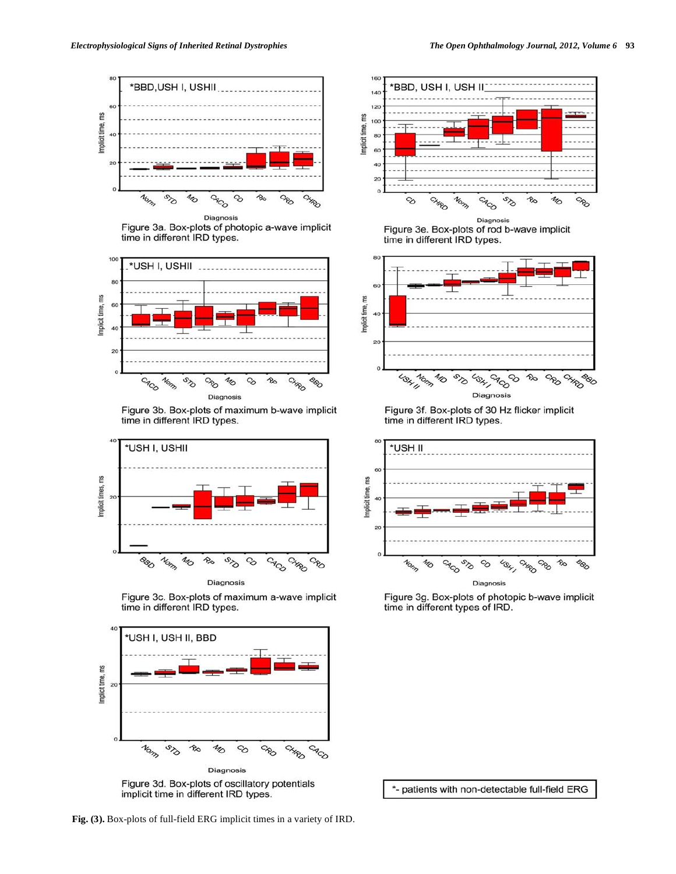

Figure 3a. Box-plots of photopic a-wave implicit time in different IRD types.



Figure 3b. Box-plots of maximum b-wave implicit time in different IRD types.



Figure 3c. Box-plots of maximum a-wave implicit time in different IRD types.



implicit time in different IRD types.





Figure 3f. Box-plots of 30 Hz flicker implicit time in different IRD types.



Figure 3g. Box-plots of photopic b-wave implicit time in different types of IRD.

\*- patients with non-detectable full-field ERG

**Fig. (3).** Box-plots of full-field ERG implicit times in a variety of IRD.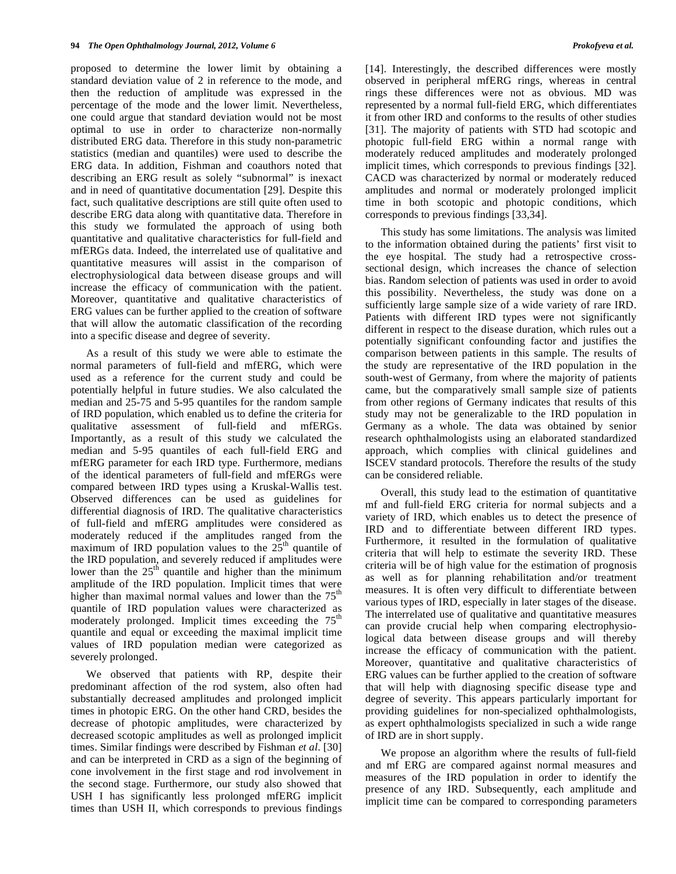proposed to determine the lower limit by obtaining a standard deviation value of 2 in reference to the mode, and then the reduction of amplitude was expressed in the percentage of the mode and the lower limit. Nevertheless, one could argue that standard deviation would not be most optimal to use in order to characterize non-normally distributed ERG data. Therefore in this study non-parametric statistics (median and quantiles) were used to describe the ERG data. In addition, Fishman and coauthors noted that describing an ERG result as solely "subnormal" is inexact and in need of quantitative documentation [29]. Despite this fact, such qualitative descriptions are still quite often used to describe ERG data along with quantitative data. Therefore in this study we formulated the approach of using both quantitative and qualitative characteristics for full-field and mfERGs data. Indeed, the interrelated use of qualitative and quantitative measures will assist in the comparison of electrophysiological data between disease groups and will increase the efficacy of communication with the patient. Moreover, quantitative and qualitative characteristics of ERG values can be further applied to the creation of software that will allow the automatic classification of the recording into a specific disease and degree of severity.

 As a result of this study we were able to estimate the normal parameters of full-field and mfERG, which were used as a reference for the current study and could be potentially helpful in future studies. We also calculated the median and 25-75 and 5-95 quantiles for the random sample of IRD population, which enabled us to define the criteria for qualitative assessment of full-field and mfERGs. Importantly, as a result of this study we calculated the median and 5-95 quantiles of each full-field ERG and mfERG parameter for each IRD type. Furthermore, medians of the identical parameters of full-field and mfERGs were compared between IRD types using a Kruskal-Wallis test. Observed differences can be used as guidelines for differential diagnosis of IRD. The qualitative characteristics of full-field and mfERG amplitudes were considered as moderately reduced if the amplitudes ranged from the maximum of IRD population values to the  $25<sup>th</sup>$  quantile of the IRD population, and severely reduced if amplitudes were lower than the  $25<sup>th</sup>$  quantile and higher than the minimum amplitude of the IRD population. Implicit times that were higher than maximal normal values and lower than the  $75<sup>th</sup>$ quantile of IRD population values were characterized as moderately prolonged. Implicit times exceeding the 75<sup>th</sup> quantile and equal or exceeding the maximal implicit time values of IRD population median were categorized as severely prolonged.

 We observed that patients with RP, despite their predominant affection of the rod system, also often had substantially decreased amplitudes and prolonged implicit times in photopic ERG. On the other hand CRD, besides the decrease of photopic amplitudes, were characterized by decreased scotopic amplitudes as well as prolonged implicit times. Similar findings were described by Fishman *et al*. [30] and can be interpreted in CRD as a sign of the beginning of cone involvement in the first stage and rod involvement in the second stage. Furthermore, our study also showed that USH I has significantly less prolonged mfERG implicit times than USH II, which corresponds to previous findings

[14]. Interestingly, the described differences were mostly observed in peripheral mfERG rings, whereas in central rings these differences were not as obvious. MD was represented by a normal full-field ERG, which differentiates it from other IRD and conforms to the results of other studies [31]. The majority of patients with STD had scotopic and photopic full-field ERG within a normal range with moderately reduced amplitudes and moderately prolonged implicit times, which corresponds to previous findings [32]. CACD was characterized by normal or moderately reduced amplitudes and normal or moderately prolonged implicit time in both scotopic and photopic conditions, which corresponds to previous findings [33,34].

 This study has some limitations. The analysis was limited to the information obtained during the patients' first visit to the eye hospital. The study had a retrospective crosssectional design, which increases the chance of selection bias. Random selection of patients was used in order to avoid this possibility. Nevertheless, the study was done on a sufficiently large sample size of a wide variety of rare IRD. Patients with different IRD types were not significantly different in respect to the disease duration, which rules out a potentially significant confounding factor and justifies the comparison between patients in this sample. The results of the study are representative of the IRD population in the south-west of Germany, from where the majority of patients came, but the comparatively small sample size of patients from other regions of Germany indicates that results of this study may not be generalizable to the IRD population in Germany as a whole. The data was obtained by senior research ophthalmologists using an elaborated standardized approach, which complies with clinical guidelines and ISCEV standard protocols. Therefore the results of the study can be considered reliable.

 Overall, this study lead to the estimation of quantitative mf and full-field ERG criteria for normal subjects and a variety of IRD, which enables us to detect the presence of IRD and to differentiate between different IRD types. Furthermore, it resulted in the formulation of qualitative criteria that will help to estimate the severity IRD. These criteria will be of high value for the estimation of prognosis as well as for planning rehabilitation and/or treatment measures. It is often very difficult to differentiate between various types of IRD, especially in later stages of the disease. The interrelated use of qualitative and quantitative measures can provide crucial help when comparing electrophysiological data between disease groups and will thereby increase the efficacy of communication with the patient. Moreover, quantitative and qualitative characteristics of ERG values can be further applied to the creation of software that will help with diagnosing specific disease type and degree of severity. This appears particularly important for providing guidelines for non-specialized ophthalmologists, as expert ophthalmologists specialized in such a wide range of IRD are in short supply.

 We propose an algorithm where the results of full-field and mf ERG are compared against normal measures and measures of the IRD population in order to identify the presence of any IRD. Subsequently, each amplitude and implicit time can be compared to corresponding parameters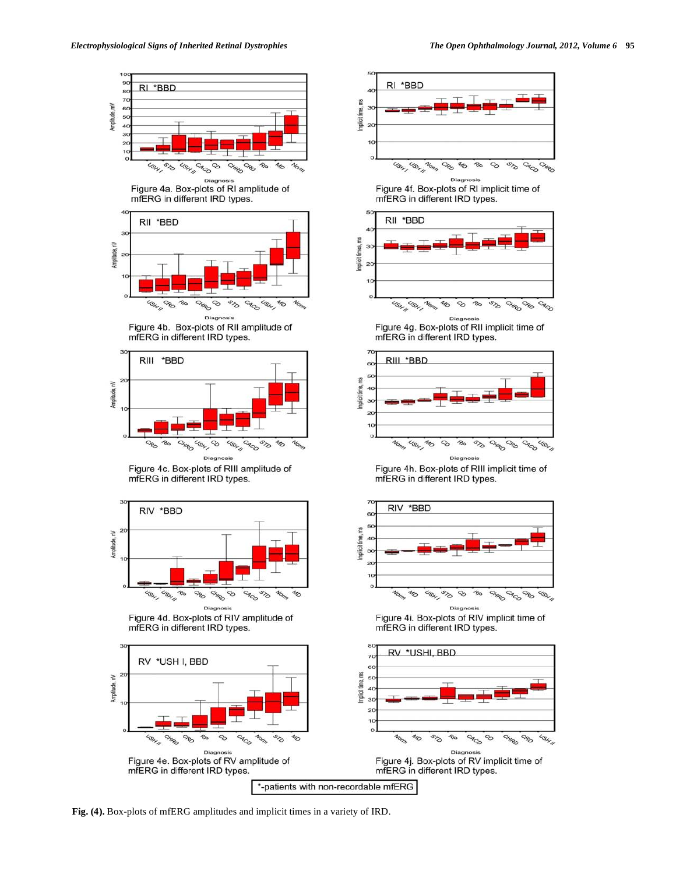



















Figure 4g. Box-plots of RII implicit time of mfERG in different IRD types.



Figure 4h. Box-plots of RIII implicit time of mfERG in different IRD types.



Figure 4i. Box-plots of RIV implicit time of mfERG in different IRD types.

**Fig. (4).** Box-plots of mfERG amplitudes and implicit times in a variety of IRD.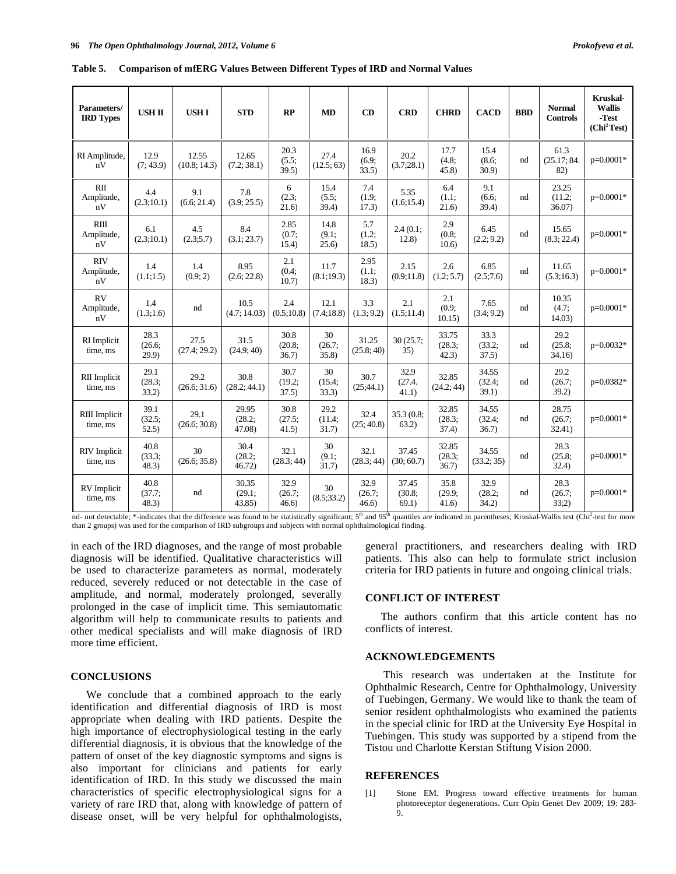| Parameters/<br><b>IRD Types</b>  | <b>USH II</b>           | <b>USHI</b>          | <b>STD</b>                | RP                      | <b>MD</b>               | CD                      | <b>CRD</b>               | <b>CHRD</b>              | <b>CACD</b>              | <b>BBD</b> | <b>Normal</b><br><b>Controls</b> | <b>Kruskal-</b><br><b>Wallis</b><br>-Test<br>(Chi <sup>2</sup> Test) |
|----------------------------------|-------------------------|----------------------|---------------------------|-------------------------|-------------------------|-------------------------|--------------------------|--------------------------|--------------------------|------------|----------------------------------|----------------------------------------------------------------------|
| RI Amplitude,<br>nV              | 12.9<br>(7:43.9)        | 12.55<br>(10.8:14.3) | 12.65<br>(7.2:38.1)       | 20.3<br>(5.5;<br>39.5)  | 27.4<br>(12.5:63)       | 16.9<br>(6.9;<br>33.5)  | 20.2<br>(3.7;28.1)       | 17.7<br>(4.8)<br>45.8    | 15.4<br>(8.6;<br>30.9    | nd         | 61.3<br>(25.17; 84.<br>82)       | p=0.0001*                                                            |
| RII<br>Amplitude,<br>nV          | 4.4<br>(2.3;10.1)       | 9.1<br>(6.6; 21.4)   | 7.8<br>(3.9; 25.5)        | 6<br>(2.3;<br>21.6)     | 15.4<br>(5.5;<br>39.4)  | 7.4<br>(1.9;<br>17.3)   | 5.35<br>(1.6; 15.4)      | 6.4<br>(1.1;<br>21.6)    | 9.1<br>(6.6)<br>39.4)    | nd         | 23.25<br>(11.2;<br>36.07)        | $p=0.0001*$                                                          |
| RIII<br>Amplitude,<br>nV         | 6.1<br>(2.3;10.1)       | 4.5<br>(2.3:5.7)     | 8.4<br>(3.1; 23.7)        | 2.85<br>(0.7;<br>15.4)  | 14.8<br>(9.1;<br>25.6)  | 5.7<br>(1.2;<br>18.5)   | 2.4(0.1;<br>12.8)        | 2.9<br>(0.8;<br>10.6     | 6.45<br>(2.2; 9.2)       | nd         | 15.65<br>(8.3; 22.4)             | p=0.0001*                                                            |
| <b>RIV</b><br>Amplitude,<br>nV   | 1.4<br>(1.1;1.5)        | 1.4<br>(0.9; 2)      | 8.95<br>(2.6; 22.8)       | 2.1<br>(0.4;<br>10.7)   | 11.7<br>(8.1;19.3)      | 2.95<br>(1.1;<br>18.3)  | 2.15<br>(0.9;11.8)       | 2.6<br>(1.2; 5.7)        | 6.85<br>(2.5;7.6)        | nd         | 11.65<br>(5.3;16.3)              | p=0.0001*                                                            |
| <b>RV</b><br>Amplitude,<br>nV    | 1.4<br>(1.3;1.6)        | nd                   | 10.5<br>(4.7; 14.03)      | 2.4<br>(0.5;10.8)       | 12.1<br>(7.4;18.8)      | 3.3<br>(1.3; 9.2)       | 2.1<br>(1.5;11.4)        | 2.1<br>(0.9;<br>10.15)   | 7.65<br>(3.4; 9.2)       | nd         | 10.35<br>(4.7;<br>14.03          | p=0.0001*                                                            |
| RI Implicit<br>time, ms          | 28.3<br>(26.6;<br>29.9) | 27.5<br>(27.4; 29.2) | 31.5<br>(24.9; 40)        | 30.8<br>(20.8;<br>36.7) | 30<br>(26.7;<br>35.8    | 31.25<br>(25.8; 40)     | 30(25.7)<br>35)          | 33.75<br>(28.3;<br>42.3) | 33.3<br>(33.2)<br>37.5)  | nd         | 29.2<br>(25.8;<br>34.16          | p=0.0032*                                                            |
| <b>RII</b> Implicit<br>time, ms  | 29.1<br>(28.3;<br>33.2) | 29.2<br>(26.6; 31.6) | 30.8<br>(28.2; 44.1)      | 30.7<br>(19.2;<br>37.5) | 30<br>(15.4;<br>33.3)   | 30.7<br>(25; 44.1)      | 32.9<br>(27.4.<br>41.1)  | 32.85<br>(24.2; 44)      | 34.55<br>(32.4;<br>39.1) | nd         | 29.2<br>(26.7;<br>39.2)          | p=0.0382*                                                            |
| <b>RIII</b> Implicit<br>time, ms | 39.1<br>(32.5;<br>52.5) | 29.1<br>(26.6; 30.8) | 29.95<br>(28.2;<br>47.08) | 30.8<br>(27.5;<br>41.5) | 29.2<br>(11.4;<br>31.7) | 32.4<br>(25; 40.8)      | 35.3 (0.8;<br>63.2)      | 32.85<br>(28.3;<br>37.4) | 34.55<br>(32.4;<br>36.7) | nd         | 28.75<br>(26.7;<br>32.41)        | $p=0.0001*$                                                          |
| <b>RIV</b> Implicit<br>time, ms  | 40.8<br>(33.3)<br>48.3) | 30<br>(26.6; 35.8)   | 30.4<br>(28.2;<br>46.72)  | 32.1<br>(28.3; 44)      | 30<br>(9.1;<br>31.7)    | 32.1<br>(28.3; 44)      | 37.45<br>(30; 60.7)      | 32.85<br>(28.3;<br>36.7) | 34.55<br>(33.2; 35)      | nd         | 28.3<br>(25.8;<br>32.4)          | $p=0.0001*$                                                          |
| RV Implicit<br>time, ms          | 40.8<br>(37.7;<br>48.3) | nd                   | 30.35<br>(29.1;<br>43.85  | 32.9<br>(26.7;<br>46.6) | 30<br>(8.5; 33.2)       | 32.9<br>(26.7;<br>46.6) | 37.45<br>(30.8;<br>69.1) | 35.8<br>(29.9;<br>41.6   | 32.9<br>(28.2;<br>34.2)  | nd         | 28.3<br>(26.7;<br>33:2)          | p=0.0001*                                                            |

**Table 5. Comparison of mfERG Values Between Different Types of IRD and Normal Values** 

nd- not detectable; \*-indicates that the difference was found to be statistically significant;  $5<sup>th</sup>$  and  $95<sup>th</sup>$  quantiles are indicated in parentheses; Kruskal-Wallis test (Chi<sup>2</sup>-test for more than 2 groups) was used for the comparison of IRD subgroups and subjects with normal ophthalmological finding.

in each of the IRD diagnoses, and the range of most probable diagnosis will be identified. Qualitative characteristics will be used to characterize parameters as normal, moderately reduced, severely reduced or not detectable in the case of amplitude, and normal, moderately prolonged, severally prolonged in the case of implicit time. This semiautomatic algorithm will help to communicate results to patients and other medical specialists and will make diagnosis of IRD more time efficient.

#### **CONCLUSIONS**

 We conclude that a combined approach to the early identification and differential diagnosis of IRD is most appropriate when dealing with IRD patients. Despite the high importance of electrophysiological testing in the early differential diagnosis, it is obvious that the knowledge of the pattern of onset of the key diagnostic symptoms and signs is also important for clinicians and patients for early identification of IRD. In this study we discussed the main characteristics of specific electrophysiological signs for a variety of rare IRD that, along with knowledge of pattern of disease onset, will be very helpful for ophthalmologists,

general practitioners, and researchers dealing with IRD patients. This also can help to formulate strict inclusion criteria for IRD patients in future and ongoing clinical trials.

#### **CONFLICT OF INTEREST**

 The authors confirm that this article content has no conflicts of interest.

#### **ACKNOWLEDGEMENTS**

This research was undertaken at the Institute for Ophthalmic Research, Centre for Ophthalmology, University of Tuebingen, Germany. We would like to thank the team of senior resident ophthalmologists who examined the patients in the special clinic for IRD at the University Eye Hospital in Tuebingen. This study was supported by a stipend from the Tistou und Charlotte Kerstan Stiftung Vision 2000.

#### **REFERENCES**

[1] Stone EM. Progress toward effective treatments for human photoreceptor degenerations. Curr Opin Genet Dev 2009; 19: 283- 9.